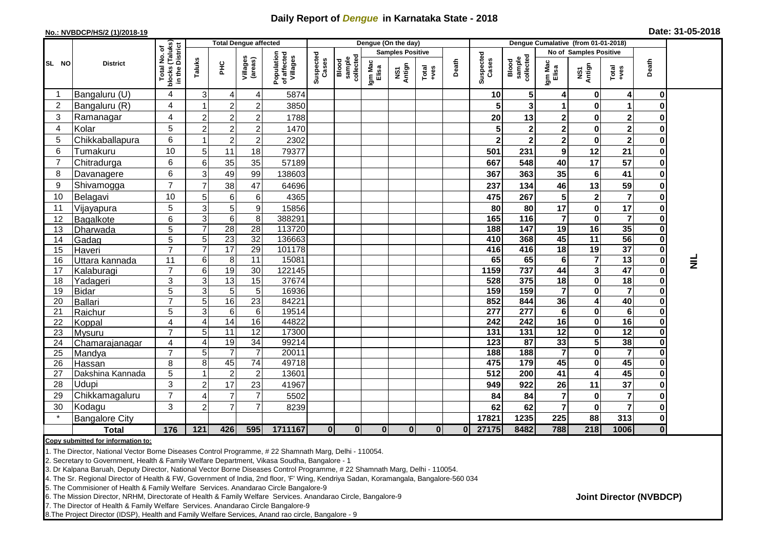## **Daily Report of** *Dengue* **in Karnataka State - 2018**

## **No.: NVBDCP/HS/2 (1)/2018-19 Date: 31-05-2018**

|                | <b>District</b>       |                                                    | <b>Total Dengue affected</b> |                 |                     |                                       |                    |                              |                         | Dengue (On the day) |               |          |                    |                              |                  |                         |                         |                         |          |
|----------------|-----------------------|----------------------------------------------------|------------------------------|-----------------|---------------------|---------------------------------------|--------------------|------------------------------|-------------------------|---------------------|---------------|----------|--------------------|------------------------------|------------------|-------------------------|-------------------------|-------------------------|----------|
| SL NO          |                       |                                                    |                              |                 |                     |                                       |                    |                              | <b>Samples Positive</b> |                     |               |          |                    |                              |                  | No of Samples Positive  |                         |                         |          |
|                |                       | Total No. of<br>blocks (Taluks)<br>in the District | Taluks                       | $\frac{1}{2}$   | Villages<br>(areas) | Population<br>of affected<br>Villages | Suspected<br>Cases | sample<br>collected<br>Blood | Igm Mac<br>Elisa        | NS1<br>Antign       | Total<br>+ves | Death    | Suspected<br>Cases | sample<br>collected<br>Blood | Igm Mac<br>Elisa | NS1<br>Antign           | Total<br>+ves           | Death                   |          |
| -1             | Bangaluru (U)         | $\overline{4}$                                     | 3                            | 4               | 4                   | 5874                                  |                    |                              |                         |                     |               |          | 10                 | 5                            | 4                | 0                       | 4                       | $\mathbf 0$             |          |
| 2              | Bangaluru (R)         | 4                                                  |                              | 2 <sub>1</sub>  | $\overline{2}$      | 3850                                  |                    |                              |                         |                     |               |          | 5                  | 3                            |                  | 0                       | $\blacktriangleleft$    | $\mathbf{0}$            |          |
| 3              | Ramanagar             | $\overline{4}$                                     | $\overline{2}$               | $\overline{2}$  | 2                   | 1788                                  |                    |                              |                         |                     |               |          | 20                 | 13                           | $\mathbf{2}$     | 0                       | $\mathbf 2$             | $\mathbf{0}$            |          |
| $\overline{4}$ | Kolar                 | 5                                                  | $\overline{2}$               | $\overline{2}$  | $\overline{c}$      | 1470                                  |                    |                              |                         |                     |               |          | 5                  | $\mathbf{2}$                 | $\mathbf 2$      | 0                       | $\overline{\mathbf{2}}$ | $\mathbf 0$             |          |
| 5              | Chikkaballapura       | 6                                                  |                              | $\overline{c}$  | $\overline{2}$      | 2302                                  |                    |                              |                         |                     |               |          | $\mathbf{2}$       | $\mathbf{2}$                 | $\mathbf{2}$     | $\bf{0}$                | $\overline{2}$          | $\mathbf{0}$            |          |
| 6              | Tumakuru              | 10                                                 | 5                            | 11              | 18                  | 79377                                 |                    |                              |                         |                     |               |          | 501                | 231                          | 9                | 12                      | 21                      | $\mathbf 0$             |          |
| $\overline{7}$ | Chitradurga           | 6                                                  | 6                            | 35              | 35                  | 57189                                 |                    |                              |                         |                     |               |          | 667                | 548                          | 40               | 17                      | $\overline{57}$         | $\mathbf 0$             |          |
| 8              | Davanagere            | 6                                                  | 3                            | 49              | 99                  | 138603                                |                    |                              |                         |                     |               |          | 367                | 363                          | 35               | 6                       | 41                      | $\mathbf 0$             |          |
| 9              | Shivamogga            | $\overline{7}$                                     |                              | 38              | 47                  | 64696                                 |                    |                              |                         |                     |               |          | 237                | 134                          | 46               | 13                      | 59                      | $\mathbf 0$             |          |
| 10             | Belagavi              | 10                                                 | 5                            | 6 <sup>1</sup>  | 6                   | 4365                                  |                    |                              |                         |                     |               |          | 475                | 267                          | $5\phantom{.0}$  | $\overline{\mathbf{2}}$ | $\overline{7}$          | $\mathbf 0$             |          |
| 11             | Vijayapura            | 5                                                  |                              | 5 <sup>1</sup>  | 9                   | 15856                                 |                    |                              |                         |                     |               |          | 80                 | 80                           | 17               | 0                       | 17                      | $\pmb{0}$               |          |
| 12             | Bagalkote             | $\overline{6}$                                     | 3                            | $\overline{6}$  | 8                   | 388291                                |                    |                              |                         |                     |               |          | 165                | $\frac{116}{116}$            | $\overline{7}$   | $\mathbf 0$             | $\overline{7}$          | $\overline{\mathbf{o}}$ |          |
| 13             | Dharwada              | $\overline{5}$                                     |                              | 28              | 28                  | 113720                                |                    |                              |                         |                     |               |          | 188                | 147                          | 19               | 16                      | 35                      | $\mathbf 0$             |          |
| 14             | Gadag                 | $\overline{5}$                                     | 5                            | 23              | $\overline{32}$     | 136663                                |                    |                              |                         |                     |               |          | 410                | 368                          | 45               | 11                      | $\overline{56}$         | $\mathbf{0}$            |          |
| 15             | Haveri                | $\overline{7}$                                     |                              | $\overline{17}$ | 29                  | 101178                                |                    |                              |                         |                     |               |          | 416                | 416                          | $\overline{18}$  | 19                      | $\overline{37}$         | $\overline{\mathbf{0}}$ |          |
| 16             | Uttara kannada        | 11                                                 | 6                            | 8 <sup>1</sup>  | 11                  | 15081                                 |                    |                              |                         |                     |               |          | 65                 | 65                           | 6                | $\overline{7}$          | $\overline{13}$         | $\mathbf{0}$            | $\equiv$ |
| 17             | Kalaburagi            | $\overline{7}$                                     | 6                            | 19              | 30                  | 122145                                |                    |                              |                         |                     |               |          | 1159               | 737                          | 44               | 3                       | $\overline{47}$         | $\mathbf 0$             |          |
| 18             | Yadageri              | $\mathsf 3$                                        | 3                            | 13              | 15                  | 37674                                 |                    |                              |                         |                     |               |          | 528                | 375                          | 18               | 0                       | 18                      | $\mathbf 0$             |          |
| 19             | <b>Bidar</b>          | 5                                                  | 3                            | 5 <sub>5</sub>  | $5\phantom{.0}$     | 16936                                 |                    |                              |                         |                     |               |          | 159                | 159                          | $\overline{7}$   | 0                       | $\overline{7}$          | $\mathbf 0$             |          |
| 20             | Ballari               | $\overline{7}$                                     | 5                            | 16              | $\overline{23}$     | 84221                                 |                    |                              |                         |                     |               |          | 852                | 844                          | 36               | 4                       | 40                      | $\mathbf 0$             |          |
| 21             | Raichur               | 5                                                  | 3                            | $6 \mid$        | 6                   | 19514                                 |                    |                              |                         |                     |               |          | 277                | 277                          | 6                | 0                       | 6                       | $\mathbf 0$             |          |
| 22             | Koppal                | $\overline{4}$                                     | 4                            | 14              | 16                  | 44822                                 |                    |                              |                         |                     |               |          | 242                | 242                          | $\overline{16}$  | 0                       | 16                      | $\mathbf 0$             |          |
| 23             | <b>Mysuru</b>         | $\overline{7}$                                     | 5                            | 11              | $\overline{12}$     | 17300                                 |                    |                              |                         |                     |               |          | 131                | 131                          | $\overline{12}$  | $\mathbf 0$             | 12                      | $\overline{\mathbf{o}}$ |          |
| 24             | Chamarajanagar        | $\overline{4}$                                     | 4                            | 19              | $\overline{34}$     | 99214                                 |                    |                              |                         |                     |               |          | $\overline{123}$   | 87                           | 33               | 5                       | 38                      | $\overline{\mathbf{o}}$ |          |
| 25             | Mandya                | $\overline{7}$                                     | 5                            | $\overline{7}$  | $\overline{7}$      | 20011                                 |                    |                              |                         |                     |               |          | 188                | 188                          | $\overline{7}$   | $\pmb{0}$               | $\overline{\mathbf{7}}$ | $\mathbf 0$             |          |
| 26             | Hassan                | 8                                                  | 8                            | 45              | $\overline{74}$     | 49718                                 |                    |                              |                         |                     |               |          | 475                | 179                          | 45               | 0                       | 45                      | $\pmb{0}$               |          |
| 27             | Dakshina Kannada      | $\overline{5}$                                     |                              | $\overline{c}$  | $\overline{2}$      | 13601                                 |                    |                              |                         |                     |               |          | $\overline{512}$   | $\overline{200}$             | 41               | 4                       | 45                      | $\overline{\mathbf{o}}$ |          |
| 28             | Udupi                 | 3                                                  | $\mathcal{P}$                | 17              | 23                  | 41967                                 |                    |                              |                         |                     |               |          | 949                | 922                          | 26               | 11                      | 37                      | $\mathbf 0$             |          |
| 29             | Chikkamagaluru        | $\overline{7}$                                     |                              | $\overline{7}$  | $\overline{7}$      | 5502                                  |                    |                              |                         |                     |               |          | 84                 | 84                           | $\overline{7}$   | $\bf{0}$                | $\overline{7}$          | $\mathbf 0$             |          |
| 30             | Kodagu                | 3                                                  |                              | $\overline{7}$  |                     | 8239                                  |                    |                              |                         |                     |               |          | 62                 | 62                           | $\overline{7}$   | $\mathbf 0$             | $\overline{7}$          | $\mathbf 0$             |          |
|                | <b>Bangalore City</b> |                                                    |                              |                 |                     |                                       |                    |                              |                         |                     |               |          | 17821              | 1235                         | 225              | 88                      | 313                     | $\mathbf{0}$            |          |
|                | <b>Total</b>          | 176                                                | $\overline{121}$             | 426             | 595                 | 1711167                               | $\bf{0}$           | $\bf{0}$                     | $\bf{0}$                | $\bf{0}$            | $\bf{0}$      | $\bf{0}$ | 27175              | 8482                         | 788              | $\overline{218}$        | 1006                    | $\overline{\mathbf{0}}$ |          |

**Copy submitted for information to:**

1. The Director, National Vector Borne Diseases Control Programme, # 22 Shamnath Marg, Delhi - 110054.

2. Secretary to Government, Health & Family Welfare Department, Vikasa Soudha, Bangalore - 1

3. Dr Kalpana Baruah, Deputy Director, National Vector Borne Diseases Control Programme, # 22 Shamnath Marg, Delhi - 110054.

4. The Sr. Regional Director of Health & FW, Government of India, 2nd floor, 'F' Wing, Kendriya Sadan, Koramangala, Bangalore-560 034

5. The Commisioner of Health & Family Welfare Services. Anandarao Circle Bangalore-9

6. The Mission Director, NRHM, Directorate of Health & Family Welfare Services. Anandarao Circle, Bangalore-9

7. The Director of Health & Family Welfare Services. Anandarao Circle Bangalore-9

8.The Project Director (IDSP), Health and Family Welfare Services, Anand rao circle, Bangalore - 9

**Joint Director (NVBDCP)**